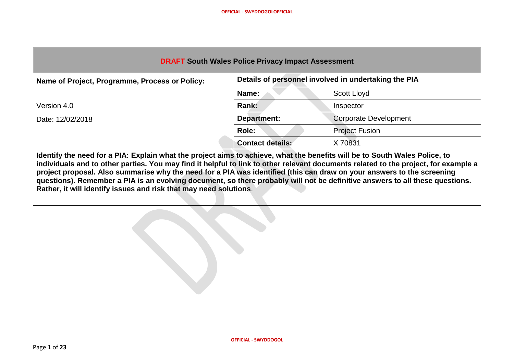| <b>DRAFT South Wales Police Privacy Impact Assessment</b>                                                                  |                         |                              |  |
|----------------------------------------------------------------------------------------------------------------------------|-------------------------|------------------------------|--|
| Details of personnel involved in undertaking the PIA<br>Name of Project, Programme, Process or Policy:                     |                         |                              |  |
|                                                                                                                            | Name:                   | Scott Lloyd                  |  |
| Version 4.0                                                                                                                | Rank:                   | Inspector                    |  |
| Date: 12/02/2018                                                                                                           | Department:             | <b>Corporate Development</b> |  |
|                                                                                                                            | Role:                   | <b>Project Fusion</b>        |  |
|                                                                                                                            | <b>Contact details:</b> | X 70831                      |  |
| Identify the need for a DIA. Funkin what the nucleat clued to cabin up what the benefits will be to Cauth Weber Delize, to |                         |                              |  |

**Identify the need for a PIA: Explain what the project aims to achieve, what the benefits will be to South Wales Police, to individuals and to other parties. You may find it helpful to link to other relevant documents related to the project, for example a project proposal. Also summarise why the need for a PIA was identified (this can draw on your answers to the screening questions). Remember a PIA is an evolving document, so there probably will not be definitive answers to all these questions. Rather, it will identify issues and risk that may need solutions**.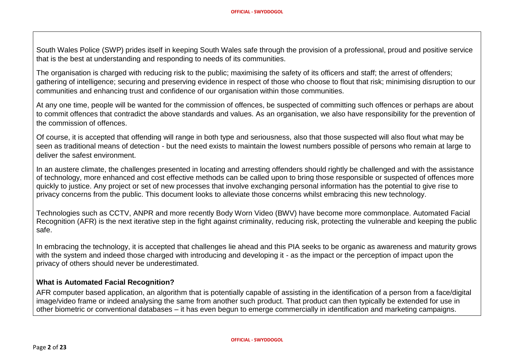South Wales Police (SWP) prides itself in keeping South Wales safe through the provision of a professional, proud and positive service that is the best at understanding and responding to needs of its communities.

The organisation is charged with reducing risk to the public; maximising the safety of its officers and staff; the arrest of offenders; gathering of intelligence; securing and preserving evidence in respect of those who choose to flout that risk; minimising disruption to our communities and enhancing trust and confidence of our organisation within those communities.

At any one time, people will be wanted for the commission of offences, be suspected of committing such offences or perhaps are about to commit offences that contradict the above standards and values. As an organisation, we also have responsibility for the prevention of the commission of offences.

Of course, it is accepted that offending will range in both type and seriousness, also that those suspected will also flout what may be seen as traditional means of detection - but the need exists to maintain the lowest numbers possible of persons who remain at large to deliver the safest environment.

In an austere climate, the challenges presented in locating and arresting offenders should rightly be challenged and with the assistance of technology, more enhanced and cost effective methods can be called upon to bring those responsible or suspected of offences more quickly to justice. Any project or set of new processes that involve exchanging personal information has the potential to give rise to privacy concerns from the public. This document looks to alleviate those concerns whilst embracing this new technology.

Technologies such as CCTV, ANPR and more recently Body Worn Video (BWV) have become more commonplace. Automated Facial Recognition (AFR) is the next iterative step in the fight against criminality, reducing risk, protecting the vulnerable and keeping the public safe.

In embracing the technology, it is accepted that challenges lie ahead and this PIA seeks to be organic as awareness and maturity grows with the system and indeed those charged with introducing and developing it - as the impact or the perception of impact upon the privacy of others should never be underestimated.

#### **What is Automated Facial Recognition?**

AFR computer based application, an algorithm that is potentially capable of assisting in the identification of a person from a face/digital image/video frame or indeed analysing the same from another such product. That product can then typically be extended for use in other biometric or conventional databases – it has even begun to emerge commercially in identification and marketing campaigns.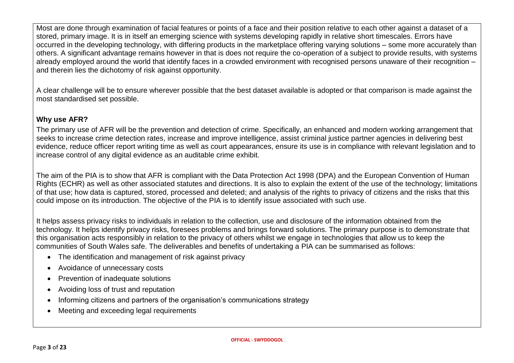Most are done through examination of facial features or points of a face and their position relative to each other against a dataset of a stored, primary image. It is in itself an emerging science with systems developing rapidly in relative short timescales. Errors have occurred in the developing technology, with differing products in the marketplace offering varying solutions – some more accurately than others. A significant advantage remains however in that is does not require the co-operation of a subject to provide results, with systems already employed around the world that identify faces in a crowded environment with recognised persons unaware of their recognition – and therein lies the dichotomy of risk against opportunity.

A clear challenge will be to ensure wherever possible that the best dataset available is adopted or that comparison is made against the most standardised set possible.

## **Why use AFR?**

The primary use of AFR will be the prevention and detection of crime. Specifically, an enhanced and modern working arrangement that seeks to increase crime detection rates, increase and improve intelligence, assist criminal justice partner agencies in delivering best evidence, reduce officer report writing time as well as court appearances, ensure its use is in compliance with relevant legislation and to increase control of any digital evidence as an auditable crime exhibit.

The aim of the PIA is to show that AFR is compliant with the Data Protection Act 1998 (DPA) and the European Convention of Human Rights (ECHR) as well as other associated statutes and directions. It is also to explain the extent of the use of the technology; limitations of that use; how data is captured, stored, processed and deleted; and analysis of the rights to privacy of citizens and the risks that this could impose on its introduction. The objective of the PIA is to identify issue associated with such use.

It helps assess privacy risks to individuals in relation to the collection, use and disclosure of the information obtained from the technology. It helps identify privacy risks, foresees problems and brings forward solutions. The primary purpose is to demonstrate that this organisation acts responsibly in relation to the privacy of others whilst we engage in technologies that allow us to keep the communities of South Wales safe. The deliverables and benefits of undertaking a PIA can be summarised as follows:

- The identification and management of risk against privacy
- Avoidance of unnecessary costs
- Prevention of inadequate solutions
- Avoiding loss of trust and reputation
- Informing citizens and partners of the organisation's communications strategy
- Meeting and exceeding legal requirements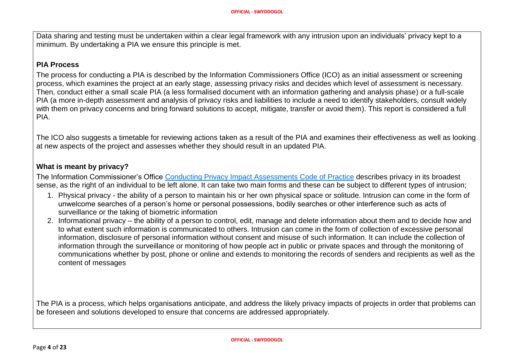Data sharing and testing must be undertaken within a clear legal framework with any intrusion upon an individuals' privacy kept to a minimum. By undertaking a PIA we ensure this principle is met.

#### **PIA Process**

The process for conducting a PIA is described by the Information Commissioners Office (ICO) as an initial assessment or screening process, which examines the project at an early stage, assessing privacy risks and decides which level of assessment is necessary. Then, conduct either a small scale PIA (a less formalised document with an information gathering and analysis phase) or a full-scale PIA (a more in-depth assessment and analysis of privacy risks and liabilities to include a need to identify stakeholders, consult widely with them on privacy concerns and bring forward solutions to accept, mitigate, transfer or avoid them). This report is considered a full PIA.

The ICO also suggests a timetable for reviewing actions taken as a result of the PIA and examines their effectiveness as well as looking at new aspects of the project and assesses whether they should result in an updated PIA.

#### **What is meant by privacy?**

The Information Commissioner's Office [Conducting Privacy Impact Assessments Code of Practice](https://ico.org.uk/media/for-organisations/documents/1595/pia-code-of-practice.pdf) describes privacy in its broadest sense, as the right of an individual to be left alone. It can take two main forms and these can be subject to different types of intrusion;

- 1. Physical privacy the ability of a person to maintain his or her own physical space or solitude. Intrusion can come in the form of unwelcome searches of a person's home or personal possessions, bodily searches or other interference such as acts of surveillance or the taking of biometric information
- 2. Informational privacy the ability of a person to control, edit, manage and delete information about them and to decide how and to what extent such information is communicated to others. Intrusion can come in the form of collection of excessive personal information, disclosure of personal information without consent and misuse of such information. It can include the collection of information through the surveillance or monitoring of how people act in public or private spaces and through the monitoring of communications whether by post, phone or online and extends to monitoring the records of senders and recipients as well as the content of messages

The PIA is a process, which helps organisations anticipate, and address the likely privacy impacts of projects in order that problems can be foreseen and solutions developed to ensure that concerns are addressed appropriately.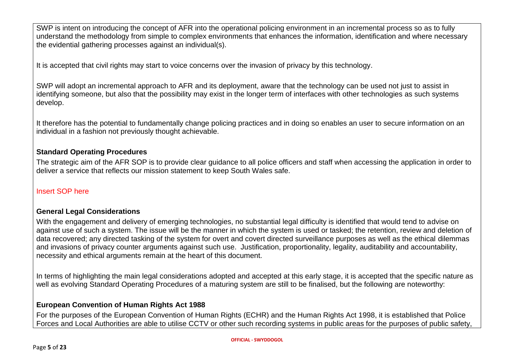SWP is intent on introducing the concept of AFR into the operational policing environment in an incremental process so as to fully understand the methodology from simple to complex environments that enhances the information, identification and where necessary the evidential gathering processes against an individual(s).

It is accepted that civil rights may start to voice concerns over the invasion of privacy by this technology.

SWP will adopt an incremental approach to AFR and its deployment, aware that the technology can be used not just to assist in identifying someone, but also that the possibility may exist in the longer term of interfaces with other technologies as such systems develop.

It therefore has the potential to fundamentally change policing practices and in doing so enables an user to secure information on an individual in a fashion not previously thought achievable.

#### **Standard Operating Procedures**

The strategic aim of the AFR SOP is to provide clear guidance to all police officers and staff when accessing the application in order to deliver a service that reflects our mission statement to keep South Wales safe.

#### Insert SOP here

## **General Legal Considerations**

With the engagement and delivery of emerging technologies, no substantial legal difficulty is identified that would tend to advise on against use of such a system. The issue will be the manner in which the system is used or tasked; the retention, review and deletion of data recovered; any directed tasking of the system for overt and covert directed surveillance purposes as well as the ethical dilemmas and invasions of privacy counter arguments against such use. Justification, proportionality, legality, auditability and accountability, necessity and ethical arguments remain at the heart of this document.

In terms of highlighting the main legal considerations adopted and accepted at this early stage, it is accepted that the specific nature as well as evolving Standard Operating Procedures of a maturing system are still to be finalised, but the following are noteworthy:

## **European Convention of Human Rights Act 1988**

For the purposes of the European Convention of Human Rights (ECHR) and the Human Rights Act 1998, it is established that Police Forces and Local Authorities are able to utilise CCTV or other such recording systems in public areas for the purposes of public safety,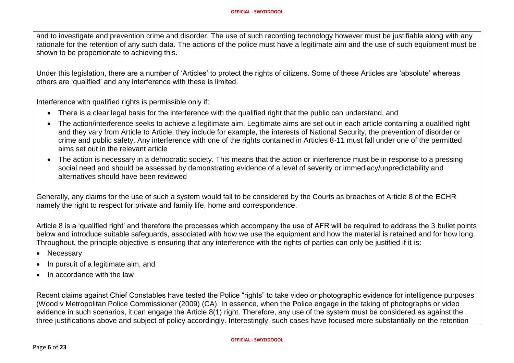and to investigate and prevention crime and disorder. The use of such recording technology however must be justifiable along with any rationale for the retention of any such data. The actions of the police must have a legitimate aim and the use of such equipment must be shown to be proportionate to achieving this.

Under this legislation, there are a number of 'Articles' to protect the rights of citizens. Some of these Articles are 'absolute' whereas others are 'qualified' and any interference with these is limited.

Interference with qualified rights is permissible only if:

- There is a clear legal basis for the interference with the qualified right that the public can understand, and
- The action/interference seeks to achieve a legitimate aim. Legitimate aims are set out in each article containing a qualified right and they vary from Article to Article, they include for example, the interests of National Security, the prevention of disorder or crime and public safety. Any interference with one of the rights contained in Articles 8-11 must fall under one of the permitted aims set out in the relevant article
- The action is necessary in a democratic society. This means that the action or interference must be in response to a pressing social need and should be assessed by demonstrating evidence of a level of severity or immediacy/unpredictability and alternatives should have been reviewed

Generally, any claims for the use of such a system would fall to be considered by the Courts as breaches of Article 8 of the ECHR namely the right to respect for private and family life, home and correspondence.

Article 8 is a 'qualified right' and therefore the processes which accompany the use of AFR will be required to address the 3 bullet points below and introduce suitable safeguards, associated with how we use the equipment and how the material is retained and for how long. Throughout, the principle objective is ensuring that any interference with the rights of parties can only be justified if it is:

- Necessary
- In pursuit of a legitimate aim, and
- In accordance with the law

Recent claims against Chief Constables have tested the Police "rights" to take video or photographic evidence for intelligence purposes (Wood v Metropolitan Police Commissioner (2009) (CA). In essence, when the Police engage in the taking of photographs or video evidence in such scenarios, it can engage the Article 8(1) right. Therefore, any use of the system must be considered as against the three justifications above and subject of policy accordingly. Interestingly, such cases have focused more substantially on the retention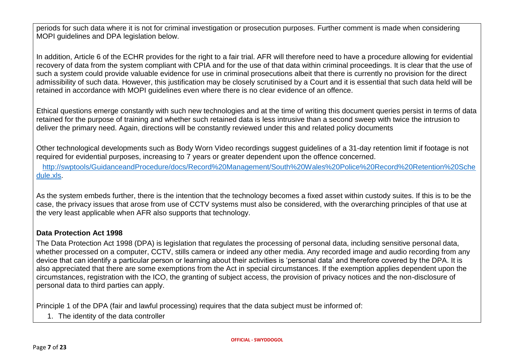periods for such data where it is not for criminal investigation or prosecution purposes. Further comment is made when considering MOPI guidelines and DPA legislation below.

In addition, Article 6 of the ECHR provides for the right to a fair trial. AFR will therefore need to have a procedure allowing for evidential recovery of data from the system compliant with CPIA and for the use of that data within criminal proceedings. It is clear that the use of such a system could provide valuable evidence for use in criminal prosecutions albeit that there is currently no provision for the direct admissibility of such data. However, this justification may be closely scrutinised by a Court and it is essential that such data held will be retained in accordance with MOPI guidelines even where there is no clear evidence of an offence.

Ethical questions emerge constantly with such new technologies and at the time of writing this document queries persist in terms of data retained for the purpose of training and whether such retained data is less intrusive than a second sweep with twice the intrusion to deliver the primary need. Again, directions will be constantly reviewed under this and related policy documents

Other technological developments such as Body Worn Video recordings suggest guidelines of a 31-day retention limit if footage is not required for evidential purposes, increasing to 7 years or greater dependent upon the offence concerned.

 [http://swptools/GuidanceandProcedure/docs/Record%20Management/South%20Wales%20Police%20Record%20Retention%20Sche](http://swptools/GuidanceandProcedure/docs/Record%20Management/South%20Wales%20Police%20Record%20Retention%20Schedule.xls) [dule.xls.](http://swptools/GuidanceandProcedure/docs/Record%20Management/South%20Wales%20Police%20Record%20Retention%20Schedule.xls)

As the system embeds further, there is the intention that the technology becomes a fixed asset within custody suites. If this is to be the case, the privacy issues that arose from use of CCTV systems must also be considered, with the overarching principles of that use at the very least applicable when AFR also supports that technology.

## **Data Protection Act 1998**

The Data Protection Act 1998 (DPA) is legislation that regulates the processing of personal data, including sensitive personal data, whether processed on a computer, CCTV, stills camera or indeed any other media. Any recorded image and audio recording from any device that can identify a particular person or learning about their activities is 'personal data' and therefore covered by the DPA. It is also appreciated that there are some exemptions from the Act in special circumstances. If the exemption applies dependent upon the circumstances, registration with the ICO, the granting of subject access, the provision of privacy notices and the non-disclosure of personal data to third parties can apply.

Principle 1 of the DPA (fair and lawful processing) requires that the data subject must be informed of:

1. The identity of the data controller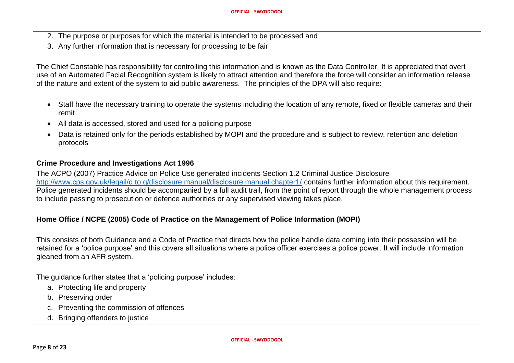- 2. The purpose or purposes for which the material is intended to be processed and
- 3. Any further information that is necessary for processing to be fair

The Chief Constable has responsibility for controlling this information and is known as the Data Controller. It is appreciated that overt use of an Automated Facial Recognition system is likely to attract attention and therefore the force will consider an information release of the nature and extent of the system to aid public awareness. The principles of the DPA will also require:

- Staff have the necessary training to operate the systems including the location of any remote, fixed or flexible cameras and their remit
- All data is accessed, stored and used for a policing purpose
- Data is retained only for the periods established by MOPI and the procedure and is subject to review, retention and deletion protocols

#### **Crime Procedure and Investigations Act 1996**

The ACPO (2007) Practice Advice on Police Use generated incidents Section 1.2 Criminal Justice Disclosure [http://www.cps.gov.uk/legail/d to g/disclosure manual/disclosure manual chapter1/](http://www.cps.gov.uk/legail/d%20to%20g/disclosure%20manual/disclosure%20manual%20chapter1/) contains further information about this requirement. Police generated incidents should be accompanied by a full audit trail, from the point of report through the whole management process to include passing to prosecution or defence authorities or any supervised viewing takes place.

## **Home Office / NCPE (2005) Code of Practice on the Management of Police Information (MOPI)**

This consists of both Guidance and a Code of Practice that directs how the police handle data coming into their possession will be retained for a 'police purpose' and this covers all situations where a police officer exercises a police power. It will include information gleaned from an AFR system.

The guidance further states that a 'policing purpose' includes:

- a. Protecting life and property
- b. Preserving order
- c. Preventing the commission of offences
- d. Bringing offenders to justice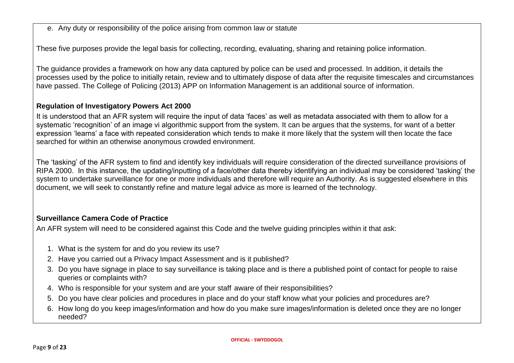e. Any duty or responsibility of the police arising from common law or statute

These five purposes provide the legal basis for collecting, recording, evaluating, sharing and retaining police information.

The guidance provides a framework on how any data captured by police can be used and processed. In addition, it details the processes used by the police to initially retain, review and to ultimately dispose of data after the requisite timescales and circumstances have passed. The College of Policing (2013) APP on Information Management is an additional source of information.

## **Regulation of Investigatory Powers Act 2000**

It is understood that an AFR system will require the input of data 'faces' as well as metadata associated with them to allow for a systematic 'recognition' of an image vi algorithmic support from the system. It can be argues that the systems, for want of a better expression 'learns' a face with repeated consideration which tends to make it more likely that the system will then locate the face searched for within an otherwise anonymous crowded environment.

The 'tasking' of the AFR system to find and identify key individuals will require consideration of the directed surveillance provisions of RIPA 2000. In this instance, the updating/inputting of a face/other data thereby identifying an individual may be considered 'tasking' the system to undertake surveillance for one or more individuals and therefore will require an Authority. As is suggested elsewhere in this document, we will seek to constantly refine and mature legal advice as more is learned of the technology.

## **Surveillance Camera Code of Practice**

An AFR system will need to be considered against this Code and the twelve guiding principles within it that ask:

- 1. What is the system for and do you review its use?
- 2. Have you carried out a Privacy Impact Assessment and is it published?
- 3. Do you have signage in place to say surveillance is taking place and is there a published point of contact for people to raise queries or complaints with?
- 4. Who is responsible for your system and are your staff aware of their responsibilities?
- 5. Do you have clear policies and procedures in place and do your staff know what your policies and procedures are?
- 6. How long do you keep images/information and how do you make sure images/information is deleted once they are no longer needed?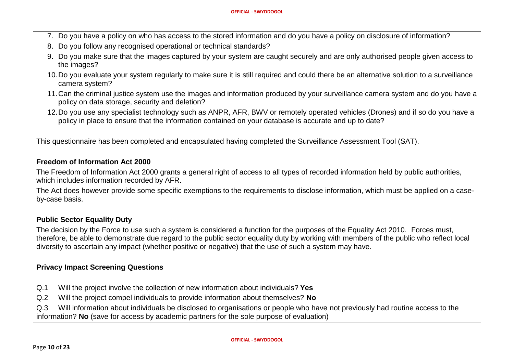- 7. Do you have a policy on who has access to the stored information and do you have a policy on disclosure of information?
- 8. Do you follow any recognised operational or technical standards?
- 9. Do you make sure that the images captured by your system are caught securely and are only authorised people given access to the images?
- 10.Do you evaluate your system regularly to make sure it is still required and could there be an alternative solution to a surveillance camera system?
- 11.Can the criminal justice system use the images and information produced by your surveillance camera system and do you have a policy on data storage, security and deletion?
- 12.Do you use any specialist technology such as ANPR, AFR, BWV or remotely operated vehicles (Drones) and if so do you have a policy in place to ensure that the information contained on your database is accurate and up to date?

This questionnaire has been completed and encapsulated having completed the Surveillance Assessment Tool (SAT).

#### **Freedom of Information Act 2000**

The Freedom of Information Act 2000 grants a general right of access to all types of recorded information held by public authorities, which includes information recorded by AFR.

The Act does however provide some specific exemptions to the requirements to disclose information, which must be applied on a caseby-case basis.

## **Public Sector Equality Duty**

The decision by the Force to use such a system is considered a function for the purposes of the Equality Act 2010. Forces must, therefore, be able to demonstrate due regard to the public sector equality duty by working with members of the public who reflect local diversity to ascertain any impact (whether positive or negative) that the use of such a system may have.

## **Privacy Impact Screening Questions**

- Q.1 Will the project involve the collection of new information about individuals? **Yes**
- Q.2 Will the project compel individuals to provide information about themselves? **No**

Q.3 Will information about individuals be disclosed to organisations or people who have not previously had routine access to the information? **No** (save for access by academic partners for the sole purpose of evaluation)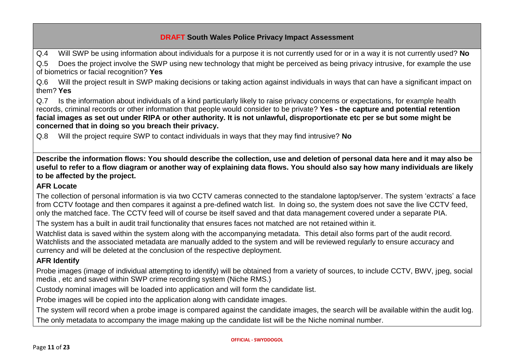Q.4 Will SWP be using information about individuals for a purpose it is not currently used for or in a way it is not currently used? **No**

Q.5 Does the project involve the SWP using new technology that might be perceived as being privacy intrusive, for example the use of biometrics or facial recognition? **Yes**

Q.6 Will the project result in SWP making decisions or taking action against individuals in ways that can have a significant impact on them? **Yes**

Q.7 Is the information about individuals of a kind particularly likely to raise privacy concerns or expectations, for example health records, criminal records or other information that people would consider to be private? **Yes - the capture and potential retention facial images as set out under RIPA or other authority. It is not unlawful, disproportionate etc per se but some might be concerned that in doing so you breach their privacy.**

Q.8 Will the project require SWP to contact individuals in ways that they may find intrusive? **No**

**Describe the information flows: You should describe the collection, use and deletion of personal data here and it may also be useful to refer to a flow diagram or another way of explaining data flows. You should also say how many individuals are likely to be affected by the project.**

## **AFR Locate**

The collection of personal information is via two CCTV cameras connected to the standalone laptop/server. The system 'extracts' a face from CCTV footage and then compares it against a pre-defined watch list. In doing so, the system does not save the live CCTV feed, only the matched face. The CCTV feed will of course be itself saved and that data management covered under a separate PIA.

The system has a built in audit trail functionality that ensures faces not matched are not retained within it.

Watchlist data is saved within the system along with the accompanying metadata. This detail also forms part of the audit record. Watchlists and the associated metadata are manually added to the system and will be reviewed regularly to ensure accuracy and currency and will be deleted at the conclusion of the respective deployment.

## **AFR Identify**

Probe images (image of individual attempting to identify) will be obtained from a variety of sources, to include CCTV, BWV, jpeg, social media , etc and saved within SWP crime recording system (Niche RMS.)

Custody nominal images will be loaded into application and will form the candidate list.

Probe images will be copied into the application along with candidate images.

The system will record when a probe image is compared against the candidate images, the search will be available within the audit log. The only metadata to accompany the image making up the candidate list will be the Niche nominal number.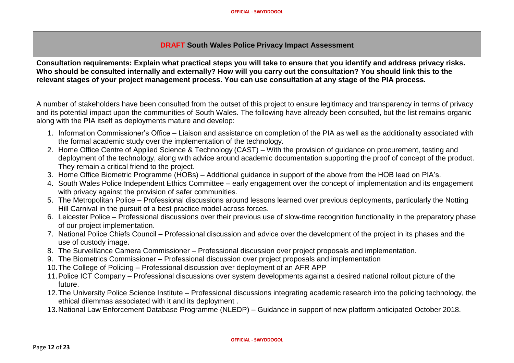**Consultation requirements: Explain what practical steps you will take to ensure that you identify and address privacy risks. Who should be consulted internally and externally? How will you carry out the consultation? You should link this to the relevant stages of your project management process. You can use consultation at any stage of the PIA process.**

A number of stakeholders have been consulted from the outset of this project to ensure legitimacy and transparency in terms of privacy and its potential impact upon the communities of South Wales. The following have already been consulted, but the list remains organic along with the PIA itself as deployments mature and develop:

- 1. Information Commissioner's Office Liaison and assistance on completion of the PIA as well as the additionality associated with the formal academic study over the implementation of the technology.
- 2. Home Office Centre of Applied Science & Technology (CAST) With the provision of guidance on procurement, testing and deployment of the technology, along with advice around academic documentation supporting the proof of concept of the product. They remain a critical friend to the project.
- 3. Home Office Biometric Programme (HOBs) Additional guidance in support of the above from the HOB lead on PIA's.
- 4. South Wales Police Independent Ethics Committee early engagement over the concept of implementation and its engagement with privacy against the provision of safer communities.
- 5. The Metropolitan Police Professional discussions around lessons learned over previous deployments, particularly the Notting Hill Carnival in the pursuit of a best practice model across forces.
- 6. Leicester Police Professional discussions over their previous use of slow-time recognition functionality in the preparatory phase of our project implementation.
- 7. National Police Chiefs Council Professional discussion and advice over the development of the project in its phases and the use of custody image.
- 8. The Surveillance Camera Commissioner Professional discussion over project proposals and implementation.
- 9. The Biometrics Commissioner Professional discussion over project proposals and implementation
- 10.The College of Policing Professional discussion over deployment of an AFR APP
- 11.Police ICT Company Professional discussions over system developments against a desired national rollout picture of the future.
- 12.The University Police Science Institute Professional discussions integrating academic research into the policing technology, the ethical dilemmas associated with it and its deployment .
- 13.National Law Enforcement Database Programme (NLEDP) Guidance in support of new platform anticipated October 2018.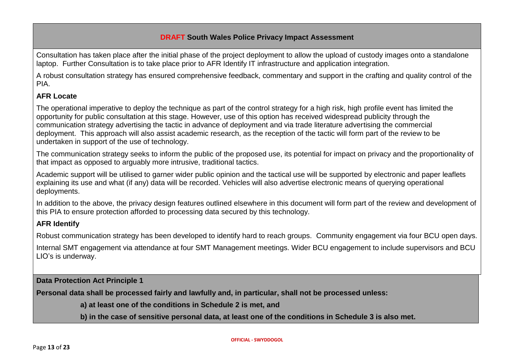Consultation has taken place after the initial phase of the project deployment to allow the upload of custody images onto a standalone laptop. Further Consultation is to take place prior to AFR Identify IT infrastructure and application integration.

A robust consultation strategy has ensured comprehensive feedback, commentary and support in the crafting and quality control of the PIA.

## **AFR Locate**

The operational imperative to deploy the technique as part of the control strategy for a high risk, high profile event has limited the opportunity for public consultation at this stage. However, use of this option has received widespread publicity through the communication strategy advertising the tactic in advance of deployment and via trade literature advertising the commercial deployment. This approach will also assist academic research, as the reception of the tactic will form part of the review to be undertaken in support of the use of technology.

The communication strategy seeks to inform the public of the proposed use, its potential for impact on privacy and the proportionality of that impact as opposed to arguably more intrusive, traditional tactics.

Academic support will be utilised to garner wider public opinion and the tactical use will be supported by electronic and paper leaflets explaining its use and what (if any) data will be recorded. Vehicles will also advertise electronic means of querying operational deployments.

In addition to the above, the privacy design features outlined elsewhere in this document will form part of the review and development of this PIA to ensure protection afforded to processing data secured by this technology.

## **AFR Identify**

Robust communication strategy has been developed to identify hard to reach groups. Community engagement via four BCU open days.

Internal SMT engagement via attendance at four SMT Management meetings. Wider BCU engagement to include supervisors and BCU LIO's is underway.

**Data Protection Act Principle 1**

**Personal data shall be processed fairly and lawfully and, in particular, shall not be processed unless:**

**a) at least one of the conditions in Schedule 2 is met, and**

**b) in the case of sensitive personal data, at least one of the conditions in Schedule 3 is also met.**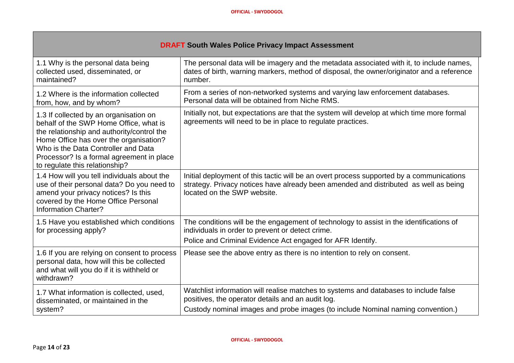.

| <b>DRAFT South Wales Police Privacy Impact Assessment</b>                                                                                                                                                                                                                                      |                                                                                                                                                                                                                              |  |
|------------------------------------------------------------------------------------------------------------------------------------------------------------------------------------------------------------------------------------------------------------------------------------------------|------------------------------------------------------------------------------------------------------------------------------------------------------------------------------------------------------------------------------|--|
| 1.1 Why is the personal data being<br>collected used, disseminated, or<br>maintained?                                                                                                                                                                                                          | The personal data will be imagery and the metadata associated with it, to include names,<br>dates of birth, warning markers, method of disposal, the owner/originator and a reference<br>number.                             |  |
| 1.2 Where is the information collected<br>from, how, and by whom?                                                                                                                                                                                                                              | From a series of non-networked systems and varying law enforcement databases.<br>Personal data will be obtained from Niche RMS.                                                                                              |  |
| 1.3 If collected by an organisation on<br>behalf of the SWP Home Office, what is<br>the relationship and authority/control the<br>Home Office has over the organisation?<br>Who is the Data Controller and Data<br>Processor? Is a formal agreement in place<br>to regulate this relationship? | Initially not, but expectations are that the system will develop at which time more formal<br>agreements will need to be in place to regulate practices.                                                                     |  |
| 1.4 How will you tell individuals about the<br>use of their personal data? Do you need to<br>amend your privacy notices? Is this<br>covered by the Home Office Personal<br><b>Information Charter?</b>                                                                                         | Initial deployment of this tactic will be an overt process supported by a communications<br>strategy. Privacy notices have already been amended and distributed as well as being<br>located on the SWP website.              |  |
| 1.5 Have you established which conditions<br>for processing apply?                                                                                                                                                                                                                             | The conditions will be the engagement of technology to assist in the identifications of<br>individuals in order to prevent or detect crime.<br>Police and Criminal Evidence Act engaged for AFR Identify.                    |  |
| 1.6 If you are relying on consent to process<br>personal data, how will this be collected<br>and what will you do if it is withheld or<br>withdrawn?                                                                                                                                           | Please see the above entry as there is no intention to rely on consent.                                                                                                                                                      |  |
| 1.7 What information is collected, used,<br>disseminated, or maintained in the<br>system?                                                                                                                                                                                                      | Watchlist information will realise matches to systems and databases to include false<br>positives, the operator details and an audit log.<br>Custody nominal images and probe images (to include Nominal naming convention.) |  |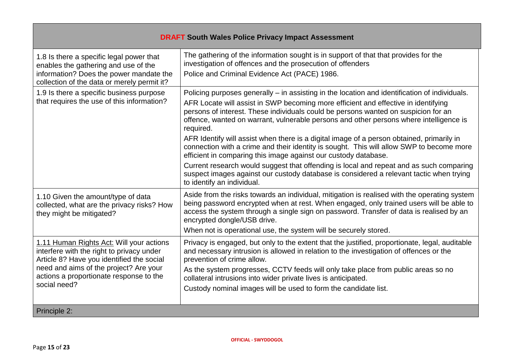| <b>DRAFT South Wales Police Privacy Impact Assessment</b>                                                                                                                                                                               |                                                                                                                                                                                                                                                                                                                                                                                                                                                                                                                                                                                                                                                                                                                                                                                                                                    |  |
|-----------------------------------------------------------------------------------------------------------------------------------------------------------------------------------------------------------------------------------------|------------------------------------------------------------------------------------------------------------------------------------------------------------------------------------------------------------------------------------------------------------------------------------------------------------------------------------------------------------------------------------------------------------------------------------------------------------------------------------------------------------------------------------------------------------------------------------------------------------------------------------------------------------------------------------------------------------------------------------------------------------------------------------------------------------------------------------|--|
| 1.8 Is there a specific legal power that<br>enables the gathering and use of the<br>information? Does the power mandate the<br>collection of the data or merely permit it?                                                              | The gathering of the information sought is in support of that that provides for the<br>investigation of offences and the prosecution of offenders<br>Police and Criminal Evidence Act (PACE) 1986.                                                                                                                                                                                                                                                                                                                                                                                                                                                                                                                                                                                                                                 |  |
| 1.9 Is there a specific business purpose<br>that requires the use of this information?                                                                                                                                                  | Policing purposes generally – in assisting in the location and identification of individuals.<br>AFR Locate will assist in SWP becoming more efficient and effective in identifying<br>persons of interest. These individuals could be persons wanted on suspicion for an<br>offence, wanted on warrant, vulnerable persons and other persons where intelligence is<br>required.<br>AFR Identify will assist when there is a digital image of a person obtained, primarily in<br>connection with a crime and their identity is sought. This will allow SWP to become more<br>efficient in comparing this image against our custody database.<br>Current research would suggest that offending is local and repeat and as such comparing<br>suspect images against our custody database is considered a relevant tactic when trying |  |
| 1.10 Given the amount/type of data<br>collected, what are the privacy risks? How<br>they might be mitigated?                                                                                                                            | to identify an individual.<br>Aside from the risks towards an individual, mitigation is realised with the operating system<br>being password encrypted when at rest. When engaged, only trained users will be able to<br>access the system through a single sign on password. Transfer of data is realised by an<br>encrypted dongle/USB drive.<br>When not is operational use, the system will be securely stored.                                                                                                                                                                                                                                                                                                                                                                                                                |  |
| 1.11 Human Rights Act: Will your actions<br>interfere with the right to privacy under<br>Article 8? Have you identified the social<br>need and aims of the project? Are your<br>actions a proportionate response to the<br>social need? | Privacy is engaged, but only to the extent that the justified, proportionate, legal, auditable<br>and necessary intrusion is allowed in relation to the investigation of offences or the<br>prevention of crime allow.<br>As the system progresses, CCTV feeds will only take place from public areas so no<br>collateral intrusions into wider private lives is anticipated.<br>Custody nominal images will be used to form the candidate list.                                                                                                                                                                                                                                                                                                                                                                                   |  |
| Principle 2:                                                                                                                                                                                                                            |                                                                                                                                                                                                                                                                                                                                                                                                                                                                                                                                                                                                                                                                                                                                                                                                                                    |  |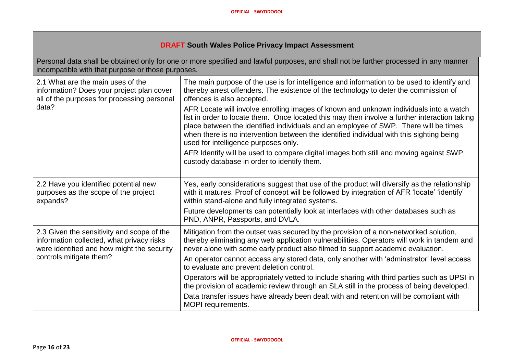| Personal data shall be obtained only for one or more specified and lawful purposes, and shall not be further processed in any manner<br>incompatible with that purpose or those purposes. |                                                                                                                                                                                                                                                                                                                                                                                                                                                                                                                                                                                                                                                                                                                                                                                 |  |  |
|-------------------------------------------------------------------------------------------------------------------------------------------------------------------------------------------|---------------------------------------------------------------------------------------------------------------------------------------------------------------------------------------------------------------------------------------------------------------------------------------------------------------------------------------------------------------------------------------------------------------------------------------------------------------------------------------------------------------------------------------------------------------------------------------------------------------------------------------------------------------------------------------------------------------------------------------------------------------------------------|--|--|
| 2.1 What are the main uses of the<br>information? Does your project plan cover<br>all of the purposes for processing personal<br>data?                                                    | The main purpose of the use is for intelligence and information to be used to identify and<br>thereby arrest offenders. The existence of the technology to deter the commission of<br>offences is also accepted.<br>AFR Locate will involve enrolling images of known and unknown individuals into a watch<br>list in order to locate them. Once located this may then involve a further interaction taking<br>place between the identified individuals and an employee of SWP. There will be times<br>when there is no intervention between the identified individual with this sighting being<br>used for intelligence purposes only.<br>AFR Identify will be used to compare digital images both still and moving against SWP<br>custody database in order to identify them. |  |  |
| 2.2 Have you identified potential new<br>purposes as the scope of the project<br>expands?                                                                                                 | Yes, early considerations suggest that use of the product will diversify as the relationship<br>with it matures. Proof of concept will be followed by integration of AFR 'locate' 'identify'<br>within stand-alone and fully integrated systems.<br>Future developments can potentially look at interfaces with other databases such as<br>PND, ANPR, Passports, and DVLA.                                                                                                                                                                                                                                                                                                                                                                                                      |  |  |
| 2.3 Given the sensitivity and scope of the<br>information collected, what privacy risks<br>were identified and how might the security<br>controls mitigate them?                          | Mitigation from the outset was secured by the provision of a non-networked solution,<br>thereby eliminating any web application vulnerabilities. Operators will work in tandem and<br>never alone with some early product also filmed to support academic evaluation.<br>An operator cannot access any stored data, only another with 'adminstrator' level access<br>to evaluate and prevent deletion control.<br>Operators will be appropriately vetted to include sharing with third parties such as UPSI in<br>the provision of academic review through an SLA still in the process of being developed.<br>Data transfer issues have already been dealt with and retention will be compliant with<br><b>MOPI</b> requirements.                                               |  |  |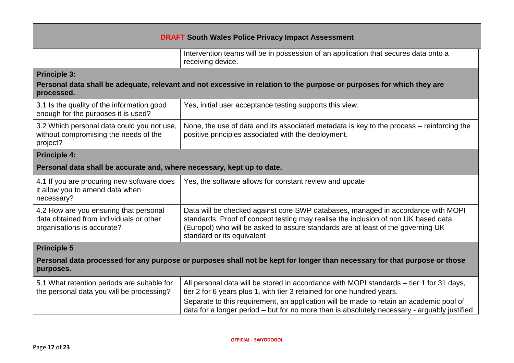| <b>DRAFT South Wales Police Privacy Impact Assessment</b>                                                                                                  |                                                                                                                                                                                                                                                                                          |  |  |
|------------------------------------------------------------------------------------------------------------------------------------------------------------|------------------------------------------------------------------------------------------------------------------------------------------------------------------------------------------------------------------------------------------------------------------------------------------|--|--|
|                                                                                                                                                            | Intervention teams will be in possession of an application that secures data onto a<br>receiving device.                                                                                                                                                                                 |  |  |
| <b>Principle 3:</b><br>Personal data shall be adequate, relevant and not excessive in relation to the purpose or purposes for which they are<br>processed. |                                                                                                                                                                                                                                                                                          |  |  |
| 3.1 Is the quality of the information good<br>enough for the purposes it is used?                                                                          | Yes, initial user acceptance testing supports this view.                                                                                                                                                                                                                                 |  |  |
| 3.2 Which personal data could you not use,<br>without compromising the needs of the<br>project?                                                            | None, the use of data and its associated metadata is key to the process – reinforcing the<br>positive principles associated with the deployment.                                                                                                                                         |  |  |
| <b>Principle 4:</b>                                                                                                                                        |                                                                                                                                                                                                                                                                                          |  |  |
| Personal data shall be accurate and, where necessary, kept up to date.                                                                                     |                                                                                                                                                                                                                                                                                          |  |  |
| 4.1 If you are procuring new software does<br>it allow you to amend data when<br>necessary?                                                                | Yes, the software allows for constant review and update                                                                                                                                                                                                                                  |  |  |
| 4.2 How are you ensuring that personal<br>data obtained from individuals or other<br>organisations is accurate?                                            | Data will be checked against core SWP databases, managed in accordance with MOPI<br>standards. Proof of concept testing may realise the inclusion of non UK based data<br>(Europol) who will be asked to assure standards are at least of the governing UK<br>standard or its equivalent |  |  |
| <b>Principle 5</b>                                                                                                                                         |                                                                                                                                                                                                                                                                                          |  |  |
| Personal data processed for any purpose or purposes shall not be kept for longer than necessary for that purpose or those<br>purposes.                     |                                                                                                                                                                                                                                                                                          |  |  |
| 5.1 What retention periods are suitable for<br>the personal data you will be processing?                                                                   | All personal data will be stored in accordance with MOPI standards - tier 1 for 31 days,<br>tier 2 for 6 years plus 1, with tier 3 retained for one hundred years.                                                                                                                       |  |  |
|                                                                                                                                                            | Separate to this requirement, an application will be made to retain an academic pool of<br>data for a longer period - but for no more than is absolutely necessary - arguably justified                                                                                                  |  |  |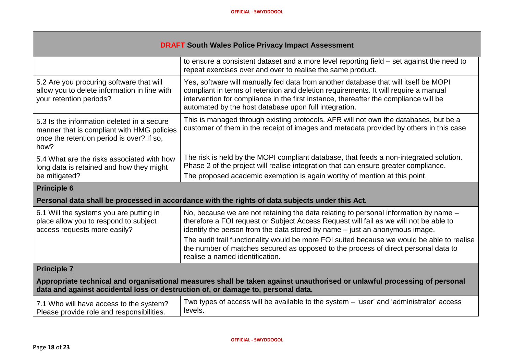| <b>DRAFT South Wales Police Privacy Impact Assessment</b>                                                                                                                                                    |                                                                                                                                                                                                                                                                                                                             |  |  |
|--------------------------------------------------------------------------------------------------------------------------------------------------------------------------------------------------------------|-----------------------------------------------------------------------------------------------------------------------------------------------------------------------------------------------------------------------------------------------------------------------------------------------------------------------------|--|--|
|                                                                                                                                                                                                              | to ensure a consistent dataset and a more level reporting field – set against the need to<br>repeat exercises over and over to realise the same product.                                                                                                                                                                    |  |  |
| 5.2 Are you procuring software that will<br>allow you to delete information in line with<br>your retention periods?                                                                                          | Yes, software will manually fed data from another database that will itself be MOPI<br>compliant in terms of retention and deletion requirements. It will require a manual<br>intervention for compliance in the first instance, thereafter the compliance will be<br>automated by the host database upon full integration. |  |  |
| 5.3 Is the information deleted in a secure<br>manner that is compliant with HMG policies<br>once the retention period is over? If so,<br>how?                                                                | This is managed through existing protocols. AFR will not own the databases, but be a<br>customer of them in the receipt of images and metadata provided by others in this case                                                                                                                                              |  |  |
| 5.4 What are the risks associated with how<br>long data is retained and how they might                                                                                                                       | The risk is held by the MOPI compliant database, that feeds a non-integrated solution.<br>Phase 2 of the project will realise integration that can ensure greater compliance.                                                                                                                                               |  |  |
| be mitigated?                                                                                                                                                                                                | The proposed academic exemption is again worthy of mention at this point.                                                                                                                                                                                                                                                   |  |  |
| <b>Principle 6</b>                                                                                                                                                                                           |                                                                                                                                                                                                                                                                                                                             |  |  |
|                                                                                                                                                                                                              | Personal data shall be processed in accordance with the rights of data subjects under this Act.                                                                                                                                                                                                                             |  |  |
| 6.1 Will the systems you are putting in<br>place allow you to respond to subject<br>access requests more easily?                                                                                             | No, because we are not retaining the data relating to personal information by name $-$<br>therefore a FOI request or Subject Access Request will fail as we will not be able to<br>identify the person from the data stored by name - just an anonymous image.                                                              |  |  |
|                                                                                                                                                                                                              | The audit trail functionality would be more FOI suited because we would be able to realise<br>the number of matches secured as opposed to the process of direct personal data to<br>realise a named identification.                                                                                                         |  |  |
| <b>Principle 7</b>                                                                                                                                                                                           |                                                                                                                                                                                                                                                                                                                             |  |  |
| Appropriate technical and organisational measures shall be taken against unauthorised or unlawful processing of personal<br>data and against accidental loss or destruction of, or damage to, personal data. |                                                                                                                                                                                                                                                                                                                             |  |  |
| 7.1 Who will have access to the system?<br>Please provide role and responsibilities.                                                                                                                         | Two types of access will be available to the system – 'user' and 'administrator' access<br>levels.                                                                                                                                                                                                                          |  |  |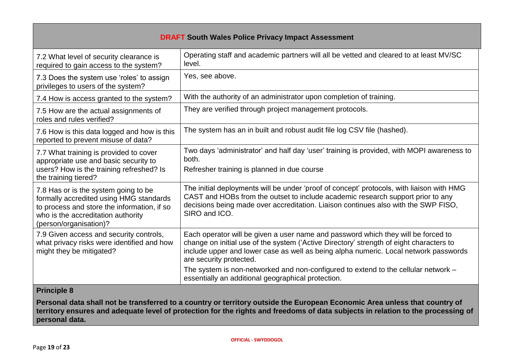| <b>DRAFT South Wales Police Privacy Impact Assessment</b>                                                                                                                                      |                                                                                                                                                                                                                                                                                                 |  |  |
|------------------------------------------------------------------------------------------------------------------------------------------------------------------------------------------------|-------------------------------------------------------------------------------------------------------------------------------------------------------------------------------------------------------------------------------------------------------------------------------------------------|--|--|
| 7.2 What level of security clearance is<br>required to gain access to the system?                                                                                                              | Operating staff and academic partners will all be vetted and cleared to at least MV/SC<br>level.                                                                                                                                                                                                |  |  |
| 7.3 Does the system use 'roles' to assign<br>privileges to users of the system?                                                                                                                | Yes, see above.                                                                                                                                                                                                                                                                                 |  |  |
| 7.4 How is access granted to the system?                                                                                                                                                       | With the authority of an administrator upon completion of training.                                                                                                                                                                                                                             |  |  |
| 7.5 How are the actual assignments of<br>roles and rules verified?                                                                                                                             | They are verified through project management protocols.                                                                                                                                                                                                                                         |  |  |
| 7.6 How is this data logged and how is this<br>reported to prevent misuse of data?                                                                                                             | The system has an in built and robust audit file log CSV file (hashed).                                                                                                                                                                                                                         |  |  |
| 7.7 What training is provided to cover<br>appropriate use and basic security to<br>users? How is the training refreshed? Is<br>the training tiered?                                            | Two days 'administrator' and half day 'user' training is provided, with MOPI awareness to<br>both.<br>Refresher training is planned in due course                                                                                                                                               |  |  |
| 7.8 Has or is the system going to be<br>formally accredited using HMG standards<br>to process and store the information, if so<br>who is the accreditation authority<br>(person/organisation)? | The initial deployments will be under 'proof of concept' protocols, with liaison with HMG<br>CAST and HOBs from the outset to include academic research support prior to any<br>decisions being made over accreditation. Liaison continues also with the SWP FISO,<br>SIRO and ICO.             |  |  |
| 7.9 Given access and security controls,<br>what privacy risks were identified and how<br>might they be mitigated?                                                                              | Each operator will be given a user name and password which they will be forced to<br>change on initial use of the system ('Active Directory' strength of eight characters to<br>include upper and lower case as well as being alpha numeric. Local network passwords<br>are security protected. |  |  |
|                                                                                                                                                                                                | The system is non-networked and non-configured to extend to the cellular network -<br>essentially an additional geographical protection.                                                                                                                                                        |  |  |
| <b>Principle 8</b>                                                                                                                                                                             |                                                                                                                                                                                                                                                                                                 |  |  |

**Personal data shall not be transferred to a country or territory outside the European Economic Area unless that country of territory ensures and adequate level of protection for the rights and freedoms of data subjects in relation to the processing of personal data.**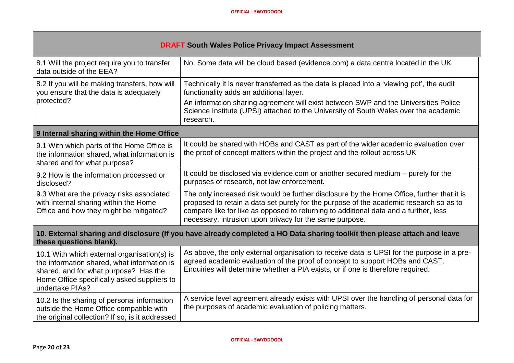| <b>DRAFT South Wales Police Privacy Impact Assessment</b>                                                                                                                                             |                                                                                                                                                                                                                                                                                                                                         |  |  |
|-------------------------------------------------------------------------------------------------------------------------------------------------------------------------------------------------------|-----------------------------------------------------------------------------------------------------------------------------------------------------------------------------------------------------------------------------------------------------------------------------------------------------------------------------------------|--|--|
| 8.1 Will the project require you to transfer<br>data outside of the EEA?                                                                                                                              | No. Some data will be cloud based (evidence.com) a data centre located in the UK                                                                                                                                                                                                                                                        |  |  |
| 8.2 If you will be making transfers, how will<br>you ensure that the data is adequately<br>protected?                                                                                                 | Technically it is never transferred as the data is placed into a 'viewing pot', the audit<br>functionality adds an additional layer.<br>An information sharing agreement will exist between SWP and the Universities Police<br>Science Institute (UPSI) attached to the University of South Wales over the academic<br>research.        |  |  |
| 9 Internal sharing within the Home Office                                                                                                                                                             |                                                                                                                                                                                                                                                                                                                                         |  |  |
| 9.1 With which parts of the Home Office is<br>the information shared, what information is<br>shared and for what purpose?                                                                             | It could be shared with HOBs and CAST as part of the wider academic evaluation over<br>the proof of concept matters within the project and the rollout across UK                                                                                                                                                                        |  |  |
| 9.2 How is the information processed or<br>disclosed?                                                                                                                                                 | It could be disclosed via evidence.com or another secured medium – purely for the<br>purposes of research, not law enforcement.                                                                                                                                                                                                         |  |  |
| 9.3 What are the privacy risks associated<br>with internal sharing within the Home<br>Office and how they might be mitigated?                                                                         | The only increased risk would be further disclosure by the Home Office, further that it is<br>proposed to retain a data set purely for the purpose of the academic research so as to<br>compare like for like as opposed to returning to additional data and a further, less<br>necessary, intrusion upon privacy for the same purpose. |  |  |
| 10. External sharing and disclosure (If you have already completed a HO Data sharing toolkit then please attach and leave<br>these questions blank).                                                  |                                                                                                                                                                                                                                                                                                                                         |  |  |
| 10.1 With which external organisation(s) is<br>the information shared, what information is<br>shared, and for what purpose? Has the<br>Home Office specifically asked suppliers to<br>undertake PIAs? | As above, the only external organisation to receive data is UPSI for the purpose in a pre-<br>agreed academic evaluation of the proof of concept to support HOBs and CAST.<br>Enquiries will determine whether a PIA exists, or if one is therefore required.                                                                           |  |  |
| 10.2 Is the sharing of personal information<br>outside the Home Office compatible with<br>the original collection? If so, is it addressed                                                             | A service level agreement already exists with UPSI over the handling of personal data for<br>the purposes of academic evaluation of policing matters.                                                                                                                                                                                   |  |  |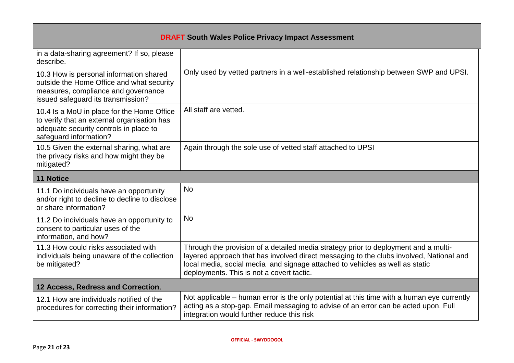| <b>DRAFT South Wales Police Privacy Impact Assessment</b>                                                                                                         |                                                                                                                                                                                                                                                                                                             |  |  |
|-------------------------------------------------------------------------------------------------------------------------------------------------------------------|-------------------------------------------------------------------------------------------------------------------------------------------------------------------------------------------------------------------------------------------------------------------------------------------------------------|--|--|
| in a data-sharing agreement? If so, please<br>describe.                                                                                                           |                                                                                                                                                                                                                                                                                                             |  |  |
| 10.3 How is personal information shared<br>outside the Home Office and what security<br>measures, compliance and governance<br>issued safeguard its transmission? | Only used by vetted partners in a well-established relationship between SWP and UPSI.                                                                                                                                                                                                                       |  |  |
| 10.4 Is a MoU in place for the Home Office<br>to verify that an external organisation has<br>adequate security controls in place to<br>safeguard information?     | All staff are vetted.                                                                                                                                                                                                                                                                                       |  |  |
| 10.5 Given the external sharing, what are<br>the privacy risks and how might they be<br>mitigated?                                                                | Again through the sole use of vetted staff attached to UPSI                                                                                                                                                                                                                                                 |  |  |
| <b>11 Notice</b>                                                                                                                                                  |                                                                                                                                                                                                                                                                                                             |  |  |
| 11.1 Do individuals have an opportunity<br>and/or right to decline to decline to disclose<br>or share information?                                                | <b>No</b>                                                                                                                                                                                                                                                                                                   |  |  |
| 11.2 Do individuals have an opportunity to<br>consent to particular uses of the<br>information, and how?                                                          | <b>No</b>                                                                                                                                                                                                                                                                                                   |  |  |
| 11.3 How could risks associated with<br>individuals being unaware of the collection<br>be mitigated?                                                              | Through the provision of a detailed media strategy prior to deployment and a multi-<br>layered approach that has involved direct messaging to the clubs involved, National and<br>local media, social media and signage attached to vehicles as well as static<br>deployments. This is not a covert tactic. |  |  |
| 12 Access, Redress and Correction.                                                                                                                                |                                                                                                                                                                                                                                                                                                             |  |  |
| 12.1 How are individuals notified of the<br>procedures for correcting their information?                                                                          | Not applicable – human error is the only potential at this time with a human eye currently<br>acting as a stop-gap. Email messaging to advise of an error can be acted upon. Full<br>integration would further reduce this risk                                                                             |  |  |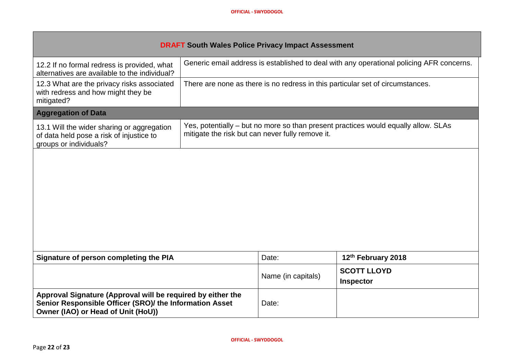| <b>DRAFT South Wales Police Privacy Impact Assessment</b>                                                                                                    |                                                                                                                                        |                    |                                                                                          |
|--------------------------------------------------------------------------------------------------------------------------------------------------------------|----------------------------------------------------------------------------------------------------------------------------------------|--------------------|------------------------------------------------------------------------------------------|
| 12.2 If no formal redress is provided, what<br>alternatives are available to the individual?                                                                 |                                                                                                                                        |                    | Generic email address is established to deal with any operational policing AFR concerns. |
| 12.3 What are the privacy risks associated<br>with redress and how might they be<br>mitigated?                                                               | There are none as there is no redress in this particular set of circumstances.                                                         |                    |                                                                                          |
| <b>Aggregation of Data</b>                                                                                                                                   |                                                                                                                                        |                    |                                                                                          |
| 13.1 Will the wider sharing or aggregation<br>of data held pose a risk of injustice to<br>groups or individuals?                                             | Yes, potentially – but no more so than present practices would equally allow. SLAs<br>mitigate the risk but can never fully remove it. |                    |                                                                                          |
|                                                                                                                                                              |                                                                                                                                        |                    |                                                                                          |
| Signature of person completing the PIA                                                                                                                       |                                                                                                                                        | Date:              | 12th February 2018                                                                       |
|                                                                                                                                                              |                                                                                                                                        | Name (in capitals) | <b>SCOTT LLOYD</b><br><b>Inspector</b>                                                   |
| Approval Signature (Approval will be required by either the<br>Senior Responsible Officer (SRO)/ the Information Asset<br>Owner (IAO) or Head of Unit (HoU)) |                                                                                                                                        | Date:              |                                                                                          |